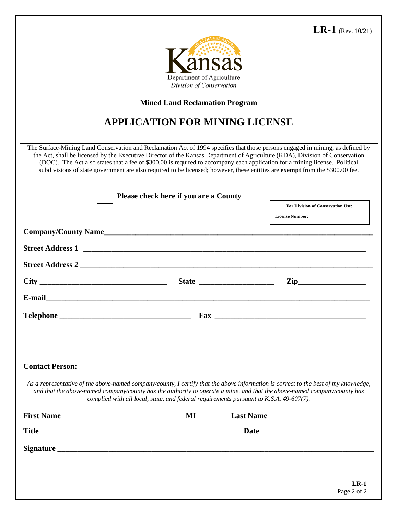## **LR-1** (Rev. 10/21)



## **Mined Land Reclamation Program**

## **APPLICATION FOR MINING LICENSE**

The Surface-Mining Land Conservation and Reclamation Act of 1994 specifies that those persons engaged in mining, as defined by the Act, shall be licensed by the Executive Director of the Kansas Department of Agriculture (KDA), Division of Conservation (DOC). The Act also states that a fee of \$300.00 is required to accompany each application for a mining license. Political subdivisions of state government are also required to be licensed; however, these entities are **exempt** from the \$300.00 fee.

|                        | Please check here if you are a County                                                  |                                                                                                                                                                                                                                                                 |
|------------------------|----------------------------------------------------------------------------------------|-----------------------------------------------------------------------------------------------------------------------------------------------------------------------------------------------------------------------------------------------------------------|
|                        |                                                                                        | <b>For Division of Conservation Use:</b>                                                                                                                                                                                                                        |
|                        |                                                                                        |                                                                                                                                                                                                                                                                 |
|                        |                                                                                        | Company/County Name                                                                                                                                                                                                                                             |
|                        |                                                                                        | Street Address 1                                                                                                                                                                                                                                                |
|                        |                                                                                        |                                                                                                                                                                                                                                                                 |
|                        |                                                                                        | $\mathbf{Zip}\_$                                                                                                                                                                                                                                                |
|                        |                                                                                        |                                                                                                                                                                                                                                                                 |
|                        |                                                                                        |                                                                                                                                                                                                                                                                 |
|                        |                                                                                        |                                                                                                                                                                                                                                                                 |
| <b>Contact Person:</b> |                                                                                        |                                                                                                                                                                                                                                                                 |
|                        | complied with all local, state, and federal requirements pursuant to K.S.A. 49-607(7). | As a representative of the above-named company/county, I certify that the above information is correct to the best of my knowledge,<br>and that the above-named company/county has the authority to operate a mine, and that the above-named company/county has |
|                        |                                                                                        |                                                                                                                                                                                                                                                                 |
|                        |                                                                                        |                                                                                                                                                                                                                                                                 |
|                        |                                                                                        |                                                                                                                                                                                                                                                                 |
|                        |                                                                                        |                                                                                                                                                                                                                                                                 |